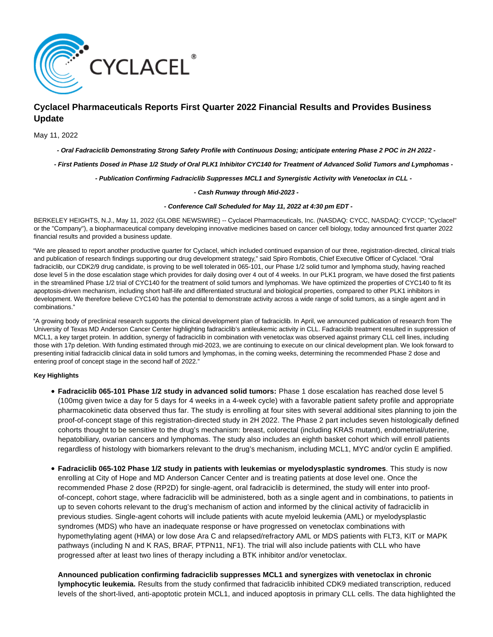

# **Cyclacel Pharmaceuticals Reports First Quarter 2022 Financial Results and Provides Business Update**

May 11, 2022

**- Oral Fadraciclib Demonstrating Strong Safety Profile with Continuous Dosing; anticipate entering Phase 2 POC in 2H 2022 -**

**- First Patients Dosed in Phase 1/2 Study of Oral PLK1 Inhibitor CYC140 for Treatment of Advanced Solid Tumors and Lymphomas -**

**- Publication Confirming Fadraciclib Suppresses MCL1 and Synergistic Activity with Venetoclax in CLL -**

## **- Cash Runway through Mid-2023 -**

**- Conference Call Scheduled for May 11, 2022 at 4:30 pm EDT -**

BERKELEY HEIGHTS, N.J., May 11, 2022 (GLOBE NEWSWIRE) -- Cyclacel Pharmaceuticals, Inc. (NASDAQ: CYCC, NASDAQ: CYCCP; "Cyclacel" or the "Company"), a biopharmaceutical company developing innovative medicines based on cancer cell biology, today announced first quarter 2022 financial results and provided a business update.

"We are pleased to report another productive quarter for Cyclacel, which included continued expansion of our three, registration-directed, clinical trials and publication of research findings supporting our drug development strategy," said Spiro Rombotis, Chief Executive Officer of Cyclacel. "Oral fadraciclib, our CDK2/9 drug candidate, is proving to be well tolerated in 065-101, our Phase 1/2 solid tumor and lymphoma study, having reached dose level 5 in the dose escalation stage which provides for daily dosing over 4 out of 4 weeks. In our PLK1 program, we have dosed the first patients in the streamlined Phase 1/2 trial of CYC140 for the treatment of solid tumors and lymphomas. We have optimized the properties of CYC140 to fit its apoptosis-driven mechanism, including short half-life and differentiated structural and biological properties, compared to other PLK1 inhibitors in development. We therefore believe CYC140 has the potential to demonstrate activity across a wide range of solid tumors, as a single agent and in combinations."

"A growing body of preclinical research supports the clinical development plan of fadraciclib. In April, we announced publication of research from The University of Texas MD Anderson Cancer Center highlighting fadraciclib's antileukemic activity in CLL. Fadraciclib treatment resulted in suppression of MCL1, a key target protein. In addition, synergy of fadraciclib in combination with venetoclax was observed against primary CLL cell lines, including those with 17p deletion. With funding estimated through mid-2023, we are continuing to execute on our clinical development plan. We look forward to presenting initial fadraciclib clinical data in solid tumors and lymphomas, in the coming weeks, determining the recommended Phase 2 dose and entering proof of concept stage in the second half of 2022."

## **Key Highlights**

- **Fadraciclib 065-101 Phase 1/2 study in advanced solid tumors:** Phase 1 dose escalation has reached dose level 5 (100mg given twice a day for 5 days for 4 weeks in a 4-week cycle) with a favorable patient safety profile and appropriate pharmacokinetic data observed thus far. The study is enrolling at four sites with several additional sites planning to join the proof-of-concept stage of this registration-directed study in 2H 2022. The Phase 2 part includes seven histologically defined cohorts thought to be sensitive to the drug's mechanism: breast, colorectal (including KRAS mutant), endometrial/uterine, hepatobiliary, ovarian cancers and lymphomas. The study also includes an eighth basket cohort which will enroll patients regardless of histology with biomarkers relevant to the drug's mechanism, including MCL1, MYC and/or cyclin E amplified.
- **Fadraciclib 065-102 Phase 1/2 study in patients with leukemias or myelodysplastic syndromes**. This study is now enrolling at City of Hope and MD Anderson Cancer Center and is treating patients at dose level one. Once the recommended Phase 2 dose (RP2D) for single-agent, oral fadraciclib is determined, the study will enter into proofof-concept, cohort stage, where fadraciclib will be administered, both as a single agent and in combinations, to patients in up to seven cohorts relevant to the drug's mechanism of action and informed by the clinical activity of fadraciclib in previous studies. Single-agent cohorts will include patients with acute myeloid leukemia (AML) or myelodysplastic syndromes (MDS) who have an inadequate response or have progressed on venetoclax combinations with hypomethylating agent (HMA) or low dose Ara C and relapsed/refractory AML or MDS patients with FLT3, KIT or MAPK pathways (including N and K RAS, BRAF, PTPN11, NF1). The trial will also include patients with CLL who have progressed after at least two lines of therapy including a BTK inhibitor and/or venetoclax.

**Announced publication confirming fadraciclib suppresses MCL1 and synergizes with venetoclax in chronic lymphocytic leukemia.** Results from the study confirmed that fadraciclib inhibited CDK9 mediated transcription, reduced levels of the short-lived, anti-apoptotic protein MCL1, and induced apoptosis in primary CLL cells. The data highlighted the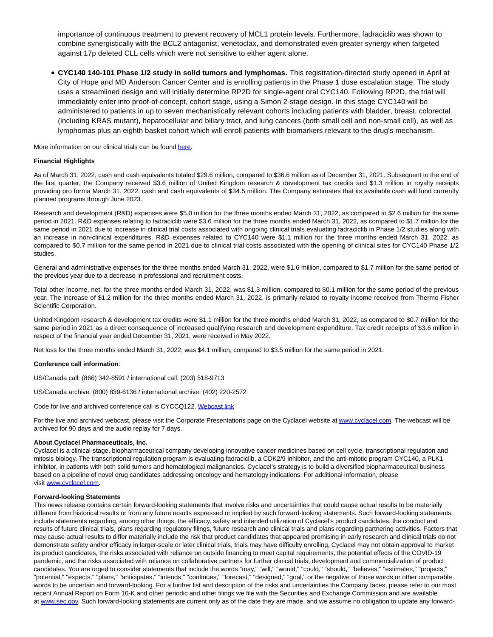importance of continuous treatment to prevent recovery of MCL1 protein levels. Furthermore, fadraciclib was shown to combine synergistically with the BCL2 antagonist, venetoclax, and demonstrated even greater synergy when targeted against 17p deleted CLL cells which were not sensitive to either agent alone.

**CYC140 140-101 Phase 1/2 study in solid tumors and lymphomas.** This registration-directed study opened in April at City of Hope and MD Anderson Cancer Center and is enrolling patients in the Phase 1 dose escalation stage. The study uses a streamlined design and will initially determine RP2D for single-agent oral CYC140. Following RP2D, the trial will immediately enter into proof-of-concept, cohort stage, using a Simon 2-stage design. In this stage CYC140 will be administered to patients in up to seven mechanistically relevant cohorts including patients with bladder, breast, colorectal (including KRAS mutant), hepatocellular and biliary tract, and lung cancers (both small cell and non-small cell), as well as lymphomas plus an eighth basket cohort which will enroll patients with biomarkers relevant to the drug's mechanism.

More information on our clinical trials can be foun[d here.](https://www.globenewswire.com/Tracker?data=M9KSmkTRPqJp-VU3Wq6ePd-kc2nBG0oDCqvELAYPXeb942tdjc_O0HvikDCZJ1kAxxsjgNlv22INvetHtaB3HxdfmHugiSvHm3TF9K0suXHt61LjFnq6NQe0VWH57VDoy_S0nbTki2ZNs4cVnqXLkUxPmz8lNTwsJWgZPvuACctogITNlcWUJfxcRhn_jCnEr37aRZCKAE4yW07KF6rGQVuHzH_LTeli7c9JMMXsgnC9iK6lE1ecI_lh3SXpgHNpRQhnhhn18EnIaf9xpUZTr6AQt8oKBWg_yJqawVwr_4dHgKeAt5JQTgRDAOz-wm2d1QFsh9vZwnRE-juuqg1ZJOkREdA0npm7fYynotddJ-TOBM9eK0lonNbYZqzp6MlHFarcBo_x_tzte5wjJKEOAX2n7JyGJtLYYj5_R4AZHxWOAy6p4kKw-8uvhmJMTI3gucA7X-c8a-dgo9fLbSZkSts_21ZQqW0LZTt__PkfpA-CE0Ho15E_GYy6OCpylG3Jb9_4zSQTYRJxV5-VPEDmL0D3lRbh0aKRWjPHrE32_NQaUP4Z2f60NdDNkRGuIUPcZmrA_hBzyVgCzhEdJpqsDGCgBEuTUrntiR2cvbuVsLoy6oPuSxAovqkP0XGM_T_EOQecs8CSHnPEgu80glu0qwQCbEgh1vFOyo6e4S0K41wr34LTVlzT8zgVxeFfqU5SV4Ib6pUpD3voliH4rcUxM29OvyQ4Gm-vzsq7mvCG3lyQ_B4zrLFu6OaRvan91MNnqvDRI40tdzaxyc1slsoEalCv8xwJQL7kRGI0GdGjCdTVWLqhiq-oDojybBEQbpRkvitkX2GQmHYrErKkITMi3S4mM1At6k9t8t4tVqIHHgS5opQOO9gtAhCdlT__e5tEKCrCbmySnYuww-g_svgz0YTSO7-93aEqa-6rzh0DJek=)

## **Financial Highlights**

As of March 31, 2022, cash and cash equivalents totaled \$29.6 million, compared to \$36.6 million as of December 31, 2021. Subsequent to the end of the first quarter, the Company received \$3.6 million of United Kingdom research & development tax credits and \$1.3 million in royalty receipts providing pro forma March 31, 2022, cash and cash equivalents of \$34.5 million. The Company estimates that its available cash will fund currently planned programs through June 2023.

Research and development (R&D) expenses were \$5.0 million for the three months ended March 31, 2022, as compared to \$2.6 million for the same period in 2021. R&D expenses relating to fadraciclib were \$3.6 million for the three months ended March 31, 2022, as compared to \$1.7 million for the same period in 2021 due to increase in clinical trial costs associated with ongoing clinical trials evaluating fadraciclib in Phase 1/2 studies along with an increase in non-clinical expenditures. R&D expenses related to CYC140 were \$1.1 million for the three months ended March 31, 2022, as compared to \$0.7 million for the same period in 2021 due to clinical trial costs associated with the opening of clinical sites for CYC140 Phase 1/2 studies.

General and administrative expenses for the three months ended March 31, 2022, were \$1.6 million, compared to \$1.7 million for the same period of the previous year due to a decrease in professional and recruitment costs.

Total other income, net, for the three months ended March 31, 2022, was \$1.3 million, compared to \$0.1 million for the same period of the previous year. The increase of \$1.2 million for the three months ended March 31, 2022, is primarily related to royalty income received from Thermo Fisher Scientific Corporation.

United Kingdom research & development tax credits were \$1.1 million for the three months ended March 31, 2022, as compared to \$0.7 million for the same period in 2021 as a direct consequence of increased qualifying research and development expenditure. Tax credit receipts of \$3.6 million in respect of the financial year ended December 31, 2021, were received in May 2022.

Net loss for the three months ended March 31, 2022, was \$4.1 million, compared to \$3.5 million for the same period in 2021.

#### **Conference call information**:

US/Canada call: (866) 342-8591 / international call: (203) 518-9713

US/Canada archive: (800) 839-6136 / international archive: (402) 220-2572

Code for live and archived conference call is CYCCQ122. [Webcast link](https://www.globenewswire.com/Tracker?data=pl8CjHAOWDYsObH3Hq2DK1yQUZrf_xjXQlEwf2spHGSVsBk-uMFqxUTUoLCNlOXZWTwpDMeizDKZbjriDpMtHxnUJ0F9x4pahUVVjOUvkkvPT_gveSiqNNnz2Jv-mYatRrTww5QzIMeYbrga2WXvUw==)

For the live and archived webcast, please visit the Corporate Presentations page on the Cyclacel website a[t www.cyclacel.com.](https://www.globenewswire.com/Tracker?data=8Csmi2zWBKe5gsRsysBKN0Uy641BAaBQtbRq-LQfYdBHHp9qA8UgAduzelcKlDZgtBW_vw5mz5zfl1LaschtgLF-PwDupo6suRzlorouNu9Pp1VP0jR2vKtPHsOv_UPW4hpgT0m8RhVLHleZm9jdkKd6YO4A2wWD6l5mJyc8F0Ac-zhBni1-L--ujzZvRxY2tH-n-eq7T_ECexPmkSLblWqQGG3YMMu1KQZ2TuXKTd6lo9EBHd0iSGRuDD2mAiMvg5KB65wVO1yxwHubtfOCYvaSTv8ReFiQGWwqOIQmwItukUHgqJ8MM2rvrkCE_ETXeiAcDxiQGOCGJyVrEHvA-iD2R6IYOyH-9LpOxskbq2tt3an5hNR47LXkOEieMTqCzZeKe_FUn8fJLt6fNhPh0g24yY2wCZOLr953ElBrX4w=) The webcast will be archived for 90 days and the audio replay for 7 days.

## **About Cyclacel Pharmaceuticals, Inc.**

Cyclacel is a clinical-stage, biopharmaceutical company developing innovative cancer medicines based on cell cycle, transcriptional regulation and mitosis biology. The transcriptional regulation program is evaluating fadraciclib, a CDK2/9 inhibitor, and the anti-mitotic program CYC140, a PLK1 inhibitor, in patients with both solid tumors and hematological malignancies. Cyclacel's strategy is to build a diversified biopharmaceutical business based on a pipeline of novel drug candidates addressing oncology and hematology indications. For additional information, please visit [www.cyclacel.com.](https://www.globenewswire.com/Tracker?data=8Csmi2zWBKe5gsRsysBKN4hrkay7gLJbxRZXgKLhuxbaCx_43NApyjV2F689g1LLVVZr6WZ3u_S1BAu6Re5fKW0slFR9A6EKQ8tXZQd6ZlKRBQleEGdrx2g2FwCxlMId2szQyt6dmWSIcKxNUy9FsTK8dHXycXGw4nAyMWiJf4zjhlo7pNK4Wz3WuSOK4AZhCir2q7nLwK7vvxRdSAqVXW8WSEHnPLZDMj_V5QiXsmfZXIfV7KB7S3o2_nIiMwC2sN7Vbv1Fu_t1xeaQPaPuAqsD9Y0JwOlyQR8Ynq8xV7IUcIWGyteb0_vICb4fTJP3nwBQthSw64neW2358hiDr36g35PUrtegixnlfwRjAJUU1vM6qpZOJzwlBYTQCgZOc1uIT4zQ2QJm03MHfdqNdnN-ftF93GnXluarI8FuLwE=)

#### **Forward-looking Statements**

This news release contains certain forward-looking statements that involve risks and uncertainties that could cause actual results to be materially different from historical results or from any future results expressed or implied by such forward-looking statements. Such forward-looking statements include statements regarding, among other things, the efficacy, safety and intended utilization of Cyclacel's product candidates, the conduct and results of future clinical trials, plans regarding regulatory filings, future research and clinical trials and plans regarding partnering activities. Factors that may cause actual results to differ materially include the risk that product candidates that appeared promising in early research and clinical trials do not demonstrate safety and/or efficacy in larger-scale or later clinical trials, trials may have difficulty enrolling, Cyclacel may not obtain approval to market its product candidates, the risks associated with reliance on outside financing to meet capital requirements, the potential effects of the COVID-19 pandemic, and the risks associated with reliance on collaborative partners for further clinical trials, development and commercialization of product candidates. You are urged to consider statements that include the words "may," "will," "would," "could," "should," "believes," "estimates," "projects," "potential," "expects," "plans," "anticipates," "intends," "continues," "forecast," "designed," "goal," or the negative of those words or other comparable words to be uncertain and forward-looking. For a further list and description of the risks and uncertainties the Company faces, please refer to our most recent Annual Report on Form 10-K and other periodic and other filings we file with the Securities and Exchange Commission and are available at [www.sec.gov.](https://www.globenewswire.com/Tracker?data=95K61dxeGvrNrJVUdhJ5Cy27BBFNSEFksxQw3c9rFABD2aEKt5RxAxJTeG-nLWsWWDp4G3VXWaZJ2his8pkvsw==) Such forward-looking statements are current only as of the date they are made, and we assume no obligation to update any forward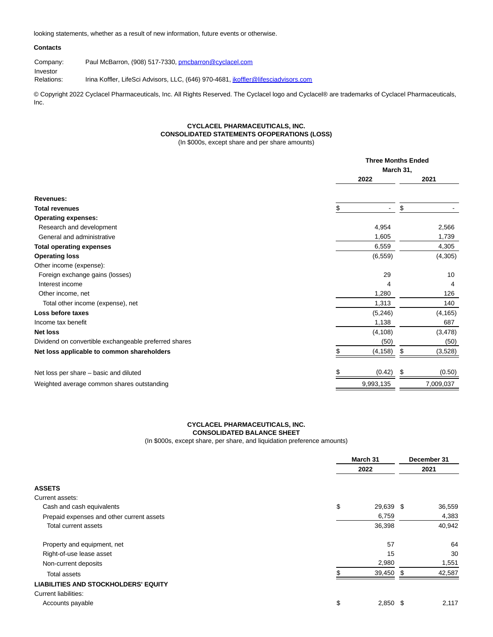looking statements, whether as a result of new information, future events or otherwise.

#### **Contacts**

| Company:   | Paul McBarron, (908) 517-7330, pmcbarron@cyclacel.com                              |
|------------|------------------------------------------------------------------------------------|
| Investor   |                                                                                    |
| Relations: | Irina Koffler, LifeSci Advisors, LLC, (646) 970-4681, ikoffler@lifesciadvisors.com |

© Copyright 2022 Cyclacel Pharmaceuticals, Inc. All Rights Reserved. The Cyclacel logo and Cyclacel® are trademarks of Cyclacel Pharmaceuticals, Inc.

# **CYCLACEL PHARMACEUTICALS, INC. CONSOLIDATED STATEMENTS OFOPERATIONS (LOSS)**

(In \$000s, except share and per share amounts)

|                                                               | <b>Three Months Ended</b><br>March 31, |           |  |
|---------------------------------------------------------------|----------------------------------------|-----------|--|
| 2022                                                          |                                        | 2021      |  |
| <b>Revenues:</b>                                              |                                        |           |  |
| \$<br><b>Total revenues</b><br>$\blacksquare$                 | \$                                     |           |  |
| <b>Operating expenses:</b>                                    |                                        |           |  |
| Research and development<br>4,954                             |                                        | 2,566     |  |
| 1,605<br>General and administrative                           |                                        | 1,739     |  |
| 6,559<br><b>Total operating expenses</b>                      |                                        | 4,305     |  |
| <b>Operating loss</b><br>(6, 559)                             |                                        | (4,305)   |  |
| Other income (expense):                                       |                                        |           |  |
| Foreign exchange gains (losses)<br>29                         |                                        | 10        |  |
| Interest income<br>4                                          |                                        | 4         |  |
| 1,280<br>Other income, net                                    |                                        | 126       |  |
| 1,313<br>Total other income (expense), net                    |                                        | 140       |  |
| Loss before taxes<br>(5, 246)                                 |                                        | (4, 165)  |  |
| 1,138<br>Income tax benefit                                   |                                        | 687       |  |
| (4, 108)<br><b>Net loss</b>                                   |                                        | (3, 478)  |  |
| (50)<br>Dividend on convertible exchangeable preferred shares |                                        | (50)      |  |
| (4, 158)<br>Net loss applicable to common shareholders        | \$                                     | (3,528)   |  |
| (0.42)<br>Net loss per share – basic and diluted              |                                        | (0.50)    |  |
| Weighted average common shares outstanding<br>9,993,135       |                                        | 7,009,037 |  |

## **CYCLACEL PHARMACEUTICALS, INC. CONSOLIDATED BALANCE SHEET**

(In \$000s, except share, per share, and liquidation preference amounts)

|                                             | March 31         | December 31 |        |  |
|---------------------------------------------|------------------|-------------|--------|--|
|                                             | 2022             |             | 2021   |  |
| <b>ASSETS</b>                               |                  |             |        |  |
| Current assets:                             |                  |             |        |  |
| Cash and cash equivalents                   | \$<br>29,639 \$  |             | 36,559 |  |
| Prepaid expenses and other current assets   | 6,759            |             | 4,383  |  |
| Total current assets                        | 36,398           |             | 40,942 |  |
| Property and equipment, net                 | 57               |             | 64     |  |
| Right-of-use lease asset                    | 15               |             | 30     |  |
| Non-current deposits                        | 2,980            |             | 1,551  |  |
| Total assets                                | 39,450           | - \$        | 42,587 |  |
| <b>LIABILITIES AND STOCKHOLDERS' EQUITY</b> |                  |             |        |  |
| <b>Current liabilities:</b>                 |                  |             |        |  |
| Accounts payable                            | \$<br>$2,850$ \$ |             | 2,117  |  |